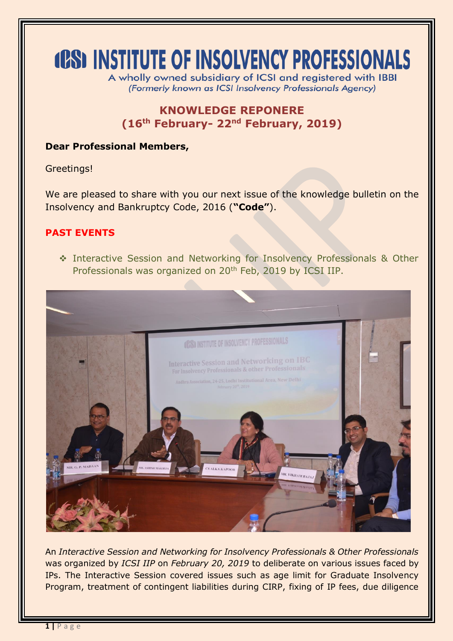# **(CS) INSTITUTE OF INSOLVENCY PROFESSIONALS**

A wholly owned subsidiary of ICSI and registered with IBBI (Formerly known as ICSI Insolvency Professionals Agency)

# **KNOWLEDGE REPONERE (16 th February- 22nd February, 2019)**

## **Dear Professional Members,**

Greetings!

We are pleased to share with you our next issue of the knowledge bulletin on the Insolvency and Bankruptcy Code, 2016 (**"Code"**).

## **PAST EVENTS**

 Interactive Session and Networking for Insolvency Professionals & Other Professionals was organized on 20<sup>th</sup> Feb, 2019 by ICSI IIP.



An *Interactive Session and Networking for Insolvency Professionals & Other Professionals*  was organized by *ICSI IIP* on *February 20, 2019* to deliberate on various issues faced by IPs. The Interactive Session covered issues such as age limit for Graduate Insolvency Program, treatment of contingent liabilities during CIRP, fixing of IP fees, due diligence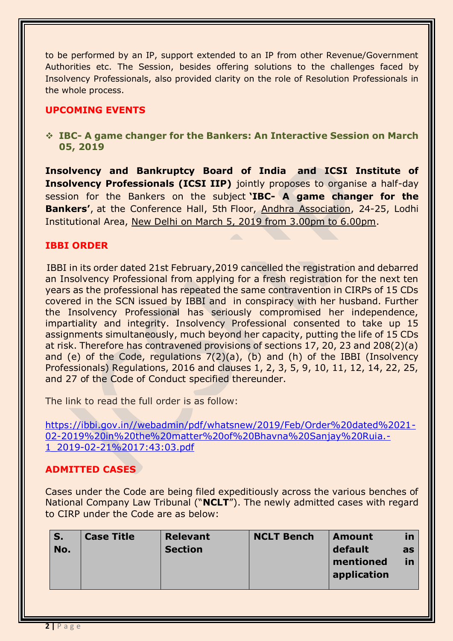to be performed by an IP, support extended to an IP from other Revenue/Government Authorities etc. The Session, besides offering solutions to the challenges faced by Insolvency Professionals, also provided clarity on the role of Resolution Professionals in the whole process.

### **UPCOMING EVENTS**

 **IBC- A game changer for the Bankers: An Interactive Session on March 05, 2019**

**Insolvency and Bankruptcy Board of India and ICSI Institute of Insolvency Professionals (ICSI IIP)** jointly proposes to organise a half-day session for the Bankers on the subject **'IBC- A game changer for the Bankers'**, at the Conference Hall, 5th Floor, Andhra Association, 24-25, Lodhi Institutional Area, New Delhi on March 5, 2019 from 3.00pm to 6.00pm.

#### **IBBI ORDER**

IBBI in its order dated 21st February,2019 cancelled the registration and debarred an Insolvency Professional from applying for a fresh registration for the next ten years as the professional has repeated the same contravention in CIRPs of 15 CDs covered in the SCN issued by IBBI and in conspiracy with her husband. Further the Insolvency Professional has seriously compromised her independence, impartiality and integrity. Insolvency Professional consented to take up 15 assignments simultaneously, much beyond her capacity, putting the life of 15 CDs at risk. Therefore has contravened provisions of sections 17, 20, 23 and 208(2)(a) and (e) of the Code, regulations 7(2)(a), (b) and (h) of the IBBI (Insolvency Professionals) Regulations, 2016 and clauses 1, 2, 3, 5, 9, 10, 11, 12, 14, 22, 25, and 27 of the Code of Conduct specified thereunder.

The link to read the full order is as follow:

[https://ibbi.gov.in//webadmin/pdf/whatsnew/2019/Feb/Order%20dated%2021-](https://ibbi.gov.in/webadmin/pdf/whatsnew/2019/Feb/Order%20dated%2021-02-2019%20in%20the%20matter%20of%20Bhavna%20Sanjay%20Ruia.-1_2019-02-21%2017:43:03.pdf) [02-2019%20in%20the%20matter%20of%20Bhavna%20Sanjay%20Ruia.-](https://ibbi.gov.in/webadmin/pdf/whatsnew/2019/Feb/Order%20dated%2021-02-2019%20in%20the%20matter%20of%20Bhavna%20Sanjay%20Ruia.-1_2019-02-21%2017:43:03.pdf) [1\\_2019-02-21%2017:43:03.pdf](https://ibbi.gov.in/webadmin/pdf/whatsnew/2019/Feb/Order%20dated%2021-02-2019%20in%20the%20matter%20of%20Bhavna%20Sanjay%20Ruia.-1_2019-02-21%2017:43:03.pdf)

#### **ADMITTED CASES**

Cases under the Code are being filed expeditiously across the various benches of National Company Law Tribunal ("**NCLT**"). The newly admitted cases with regard to CIRP under the Code are as below:

| S.<br>No. | <b>Case Title</b> | <b>Relevant</b><br><b>Section</b> | <b>NCLT Bench</b> | <b>Amount</b><br>default<br>mentioned<br>application | <u>in</u><br>as<br>in |
|-----------|-------------------|-----------------------------------|-------------------|------------------------------------------------------|-----------------------|
|-----------|-------------------|-----------------------------------|-------------------|------------------------------------------------------|-----------------------|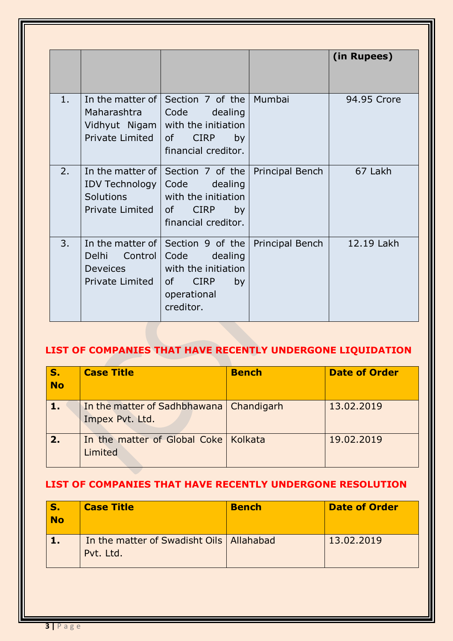|    |                                                                             |                                                                                                                                    |                 | (in Rupees) |
|----|-----------------------------------------------------------------------------|------------------------------------------------------------------------------------------------------------------------------------|-----------------|-------------|
| 1. | In the matter of $\vert$<br>Maharashtra<br>Vidhyut Nigam<br>Private Limited | Section 7 of the<br>Code<br>dealing<br>with the initiation<br><sub>of</sub><br><b>CIRP</b><br>by<br>financial creditor.            | Mumbai          | 94.95 Crore |
| 2. | In the matter of I<br>IDV Technology<br>Solutions<br>Private Limited        | Section 7 of the<br>Code<br>dealing<br>with the initiation<br><b>CIRP</b><br>of<br>by<br>financial creditor.                       | Principal Bench | 67 Lakh     |
| 3. | Delhi<br>Control  <br><b>Deveices</b><br>Private Limited                    | In the matter of Section 9 of the<br>Code<br>dealing<br>with the initiation<br><b>CIRP</b><br>0f<br>by<br>operational<br>creditor. | Principal Bench | 12.19 Lakh  |

# **LIST OF COMPANIES THAT HAVE RECENTLY UNDERGONE LIQUIDATION**

| S <sub>1</sub><br><b>No</b> | <b>Case Title</b>                                            | <b>Bench</b> | <b>Date of Order</b> |
|-----------------------------|--------------------------------------------------------------|--------------|----------------------|
| 1.                          | In the matter of Sadhbhawana   Chandigarh<br>Impex Pvt. Ltd. |              | 13.02.2019           |
| 2.                          | In the matter of Global Coke   Kolkata<br>Limited            |              | 19.02.2019           |

## **LIST OF COMPANIES THAT HAVE RECENTLY UNDERGONE RESOLUTION**

| <b>S</b><br><b>No</b> | <b>Case Title</b>                                       | <b>Bench</b> | <b>Date of Order</b> |
|-----------------------|---------------------------------------------------------|--------------|----------------------|
|                       | In the matter of Swadisht Oils   Allahabad<br>Pvt. Ltd. |              | 13.02.2019           |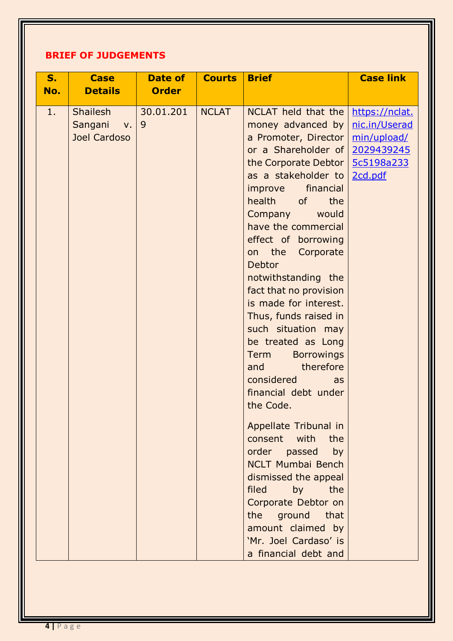# **BRIEF OF JUDGEMENTS**

| S.<br>No. | <b>Case</b><br><b>Details</b>                             | Date of<br><b>Order</b> | <b>Courts</b> | <b>Brief</b>                                                                                                                                                                                                                                                                                                                                                                                                                                                                                                                                                                                                                                                                                                                                                                                                                           | <b>Case link</b>                                                                      |
|-----------|-----------------------------------------------------------|-------------------------|---------------|----------------------------------------------------------------------------------------------------------------------------------------------------------------------------------------------------------------------------------------------------------------------------------------------------------------------------------------------------------------------------------------------------------------------------------------------------------------------------------------------------------------------------------------------------------------------------------------------------------------------------------------------------------------------------------------------------------------------------------------------------------------------------------------------------------------------------------------|---------------------------------------------------------------------------------------|
| 1.        | <b>Shailesh</b><br>Sangani<br>$V_{\star}$<br>Joel Cardoso | 30.01.201<br>9          | <b>NCLAT</b>  | NCLAT held that the<br>money advanced by<br>a Promoter, Director<br>or a Shareholder of<br>the Corporate Debtor<br>as a stakeholder to<br>financial<br>improve<br>health<br><b>of</b><br>the<br>Company<br>would<br>have the commercial<br>effect of borrowing<br>on the<br>Corporate<br><b>Debtor</b><br>notwithstanding the<br>fact that no provision<br>is made for interest.<br>Thus, funds raised in<br>such situation may<br>be treated as Long<br><b>Borrowings</b><br><b>Term</b><br>therefore<br>and<br>considered<br>as<br>financial debt under<br>the Code.<br>Appellate Tribunal in<br>consent with<br>the<br>order passed<br>by<br><b>NCLT Mumbai Bench</b><br>dismissed the appeal<br>filed<br>by<br>the<br>Corporate Debtor on<br>the ground that<br>amount claimed by<br>'Mr. Joel Cardaso' is<br>a financial debt and | https://nclat.<br>nic.in/Userad<br>min/upload/<br>2029439245<br>5c5198a233<br>2cd.pdf |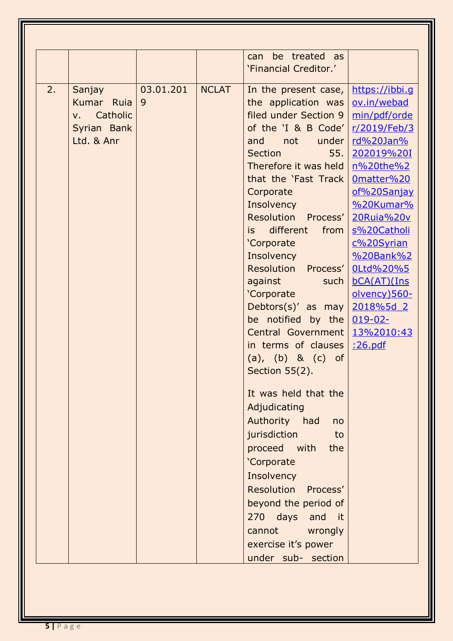|    |                         |           |              | be treated as<br>can      |                |
|----|-------------------------|-----------|--------------|---------------------------|----------------|
|    |                         |           |              | 'Financial Creditor.'     |                |
| 2. | Sanjay                  | 03.01.201 | <b>NCLAT</b> | In the present case,      | https://ibbi.g |
|    | Kumar Ruia              | 9         |              | the application was       | ov.in/webad    |
|    | Catholic<br>$V_{\star}$ |           |              | filed under Section 9     | min/pdf/orde   |
|    | Syrian Bank             |           |              | of the 'I & B Code'       | r/2019/Feb/3   |
|    | Ltd. & Anr              |           |              | under<br>not<br>and       | rd%20Jan%      |
|    |                         |           |              | <b>Section</b><br>55.     | 202019%20I     |
|    |                         |           |              | Therefore it was held     | n%20the%2      |
|    |                         |           |              | that the 'Fast Track      | Omatter%20     |
|    |                         |           |              | Corporate                 | of%20Sanjay    |
|    |                         |           |              | Insolvency                | %20Kumar%      |
|    |                         |           |              | Resolution Process'       | 20Ruia%20v     |
|    |                         |           |              | different<br>from<br>is l | s%20Catholi    |
|    |                         |           |              | 'Corporate                | c%20Syrian     |
|    |                         |           |              | Insolvency                | %20Bank%2      |
|    |                         |           |              | Resolution Process'       | OLtd%20%5      |
|    |                         |           |              | against<br>such           | bCA(AT)(Ins    |
|    |                         |           |              | 'Corporate                | olvency) 560-  |
|    |                         |           |              | Debtors(s)' as may        | 2018%5d 2      |
|    |                         |           |              | be notified by the        | $019-02-$      |
|    |                         |           |              | Central Government        | 13%2010:43     |
|    |                         |           |              | in terms of clauses       | :26.pdf        |
|    |                         |           |              | (a), (b) & (c) of         |                |
|    |                         |           |              | Section $55(2)$ .         |                |
|    |                         |           |              | It was held that the      |                |
|    |                         |           |              | Adjudicating              |                |
|    |                         |           |              | Authority had<br>no       |                |
|    |                         |           |              | jurisdiction<br>to        |                |
|    |                         |           |              | proceed with<br>the       |                |
|    |                         |           |              | 'Corporate                |                |
|    |                         |           |              | Insolvency                |                |
|    |                         |           |              | Resolution Process'       |                |
|    |                         |           |              | beyond the period of      |                |
|    |                         |           |              | 270 days and it           |                |
|    |                         |           |              | cannot wrongly            |                |
|    |                         |           |              |                           |                |
|    |                         |           |              | exercise it's power       |                |
|    |                         |           |              | under sub- section        |                |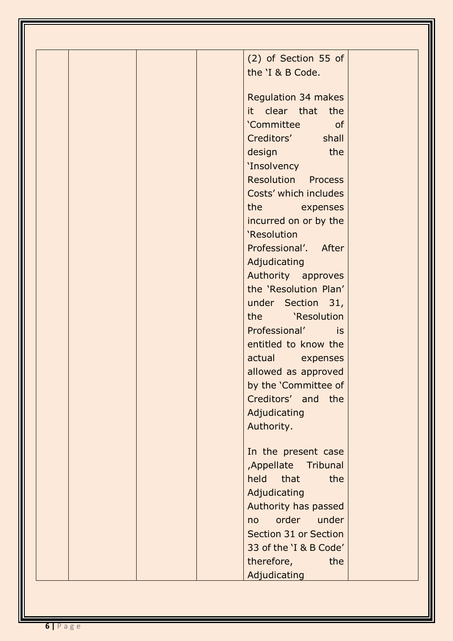| (2) of Section 55 of      |  |
|---------------------------|--|
| the 'I & B Code.          |  |
| Regulation 34 makes       |  |
| it clear that the         |  |
| 'Committee<br>of          |  |
| Creditors' shall          |  |
| design<br>the             |  |
| 'Insolvency               |  |
| <b>Resolution Process</b> |  |
| Costs' which includes     |  |
| the expenses              |  |
| incurred on or by the     |  |
| 'Resolution               |  |
| Professional'. After      |  |
| Adjudicating              |  |
| Authority approves        |  |
| the 'Resolution Plan'     |  |
|                           |  |
| under Section 31,         |  |
| the 'Resolution           |  |
| Professional' is          |  |
| entitled to know the      |  |
| actual expenses           |  |
| allowed as approved       |  |
| by the 'Committee of      |  |
| Creditors' and the        |  |
| Adjudicating              |  |
| Authority.                |  |
| In the present case       |  |
| , Appellate<br>Tribunal   |  |
| that<br>held<br>the       |  |
| Adjudicating              |  |
| Authority has passed      |  |
| order<br>under<br>no      |  |
| Section 31 or Section     |  |
| 33 of the 'I & B Code'    |  |
| therefore,<br>the         |  |
| Adjudicating              |  |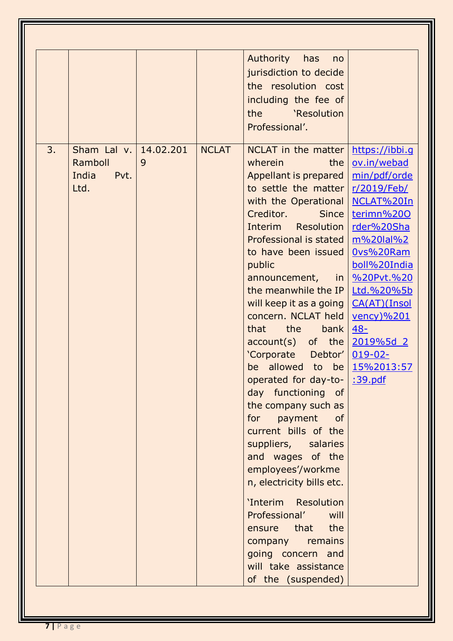| 3. | Sham Lal v.                      | 14,02,201 | <b>NCLAT</b> | <b>Authority</b><br>has<br>no<br>jurisdiction to decide<br>the resolution cost<br>including the fee of<br>the<br>'Resolution<br>Professional'.<br>NCLAT in the matter                                                                                                                                                                                                                                                                                                                                                                                                                                                                                                                                                                                                                                      | <u>https://ibbi.g</u>                                                                                                                                                                                      |
|----|----------------------------------|-----------|--------------|------------------------------------------------------------------------------------------------------------------------------------------------------------------------------------------------------------------------------------------------------------------------------------------------------------------------------------------------------------------------------------------------------------------------------------------------------------------------------------------------------------------------------------------------------------------------------------------------------------------------------------------------------------------------------------------------------------------------------------------------------------------------------------------------------------|------------------------------------------------------------------------------------------------------------------------------------------------------------------------------------------------------------|
|    | Ramboll<br>India<br>Pvt.<br>Ltd. | 9         |              | wherein<br>the<br>Appellant is prepared<br>to settle the matter<br>with the Operational<br>Creditor.<br><b>Since</b><br>Resolution<br>Interim<br>Professional is stated<br>to have been issued<br>public<br>announcement,<br>the meanwhile the IP<br>will keep it as a going<br>concern. NCLAT held<br>the<br>that<br>bank<br>$account(s)$ of the $2019\%5d$ 2<br>'Corporate Debtor' 019-02-<br>be allowed to be 15%2013:57<br>operated for day-to-   :39.pdf<br>day functioning of<br>the company such as<br>for payment of<br>current bills of the<br>suppliers, salaries<br>and wages of the<br>employees'/workme<br>n, electricity bills etc.<br>'Interim Resolution<br>Professional'<br>will<br>ensure that the<br>company remains<br>going concern and<br>will take assistance<br>of the (suspended) | ov.in/webad<br>min/pdf/orde<br>r/2019/Feb/<br>NCLAT%20In<br>terimn%200<br>rder%20Sha<br>m%20lal%2<br>Ovs%20Ram<br>boll%20India<br>in   %20Pvt.%20<br>Ltd.%20%5b<br>CA(AT)(Insol<br>$vency)$ %201<br>$48 -$ |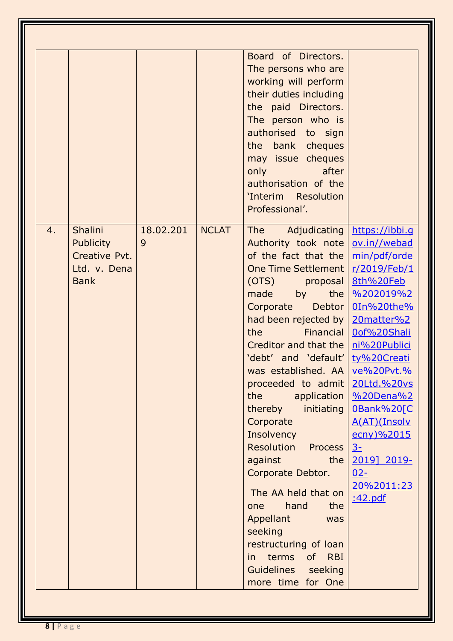|    |                                                                             |                |              | Board of Directors.<br>The persons who are<br>working will perform<br>their duties including<br>the paid Directors.<br>The person who is<br>authorised to sign<br>the bank cheques<br>may issue cheques<br>only the control of the control of the control of the control of the control of the control of the control of<br>after<br>authorisation of the<br>'Interim Resolution<br>Professional'.                                                                                                                                                                                                                                                                                                                                                                                                                                                                                                                                        |                                                                                                                                                                                                                            |
|----|-----------------------------------------------------------------------------|----------------|--------------|-------------------------------------------------------------------------------------------------------------------------------------------------------------------------------------------------------------------------------------------------------------------------------------------------------------------------------------------------------------------------------------------------------------------------------------------------------------------------------------------------------------------------------------------------------------------------------------------------------------------------------------------------------------------------------------------------------------------------------------------------------------------------------------------------------------------------------------------------------------------------------------------------------------------------------------------|----------------------------------------------------------------------------------------------------------------------------------------------------------------------------------------------------------------------------|
| 4. | Shalini<br><b>Publicity</b><br>Creative Pvt.<br>Ltd. v. Dena<br><b>Bank</b> | 18.02.201<br>9 | <b>NCLAT</b> | <b>The</b><br>Authority took note   ov.in//webad<br>of the fact that the   min/pdf/orde<br>One Time Settlement   r/2019/Feb/1<br>(OTS) proposal 8th%20Feb<br>made by<br>Corporate<br>had been rejected by $\sqrt{20}$ 20 matter %2<br>the the state of the state of the state of the state of the state of the state of the state of the state of the<br>Creditor and that the   ni%20Publici<br>'debt' and 'default' ty%20Creati<br>was established. AA ve%20Pvt.%<br>proceeded to admit   20Ltd.%20vs<br>the the state of the state of the state of the state of the state of the state of the state of the state of the<br>application<br>thereby initiating<br>Corporate<br>Insolvency<br><b>Resolution Process</b><br>against<br>the<br>Corporate Debtor.<br>The AA held that on<br>hand<br>the<br>one<br>Appellant<br>was<br>seeking<br>restructuring of loan<br>terms<br>of RBI<br>in i<br>Guidelines seeking<br>more time for One | Adjudicating   https://ibbi.g<br>the %202019%2<br>Debtor   0In%20the%<br>Financial   0of%20Shali<br>%20Dena%2<br>OBank%20[C<br>A(AT)(Insolv<br>ecny)%2015<br>$3-$<br>2019] 2019-<br>$02 -$<br>20%2011:23<br><u>:42.pdf</u> |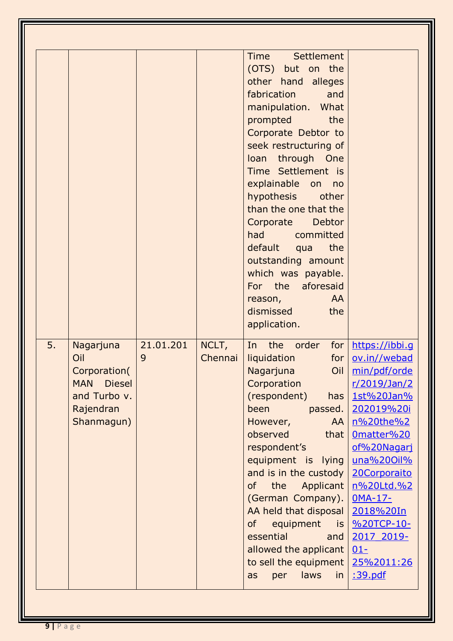|    |                             |           |         | <b>Time</b><br>Settlement  |                        |
|----|-----------------------------|-----------|---------|----------------------------|------------------------|
|    |                             |           |         | (OTS) but on the           |                        |
|    |                             |           |         | other hand alleges         |                        |
|    |                             |           |         | fabrication<br>and         |                        |
|    |                             |           |         | manipulation. What         |                        |
|    |                             |           |         | prompted<br>the            |                        |
|    |                             |           |         | Corporate Debtor to        |                        |
|    |                             |           |         | seek restructuring of      |                        |
|    |                             |           |         | loan through One           |                        |
|    |                             |           |         | Time Settlement is         |                        |
|    |                             |           |         | explainable<br>on<br>no    |                        |
|    |                             |           |         | hypothesis<br>other        |                        |
|    |                             |           |         | than the one that the      |                        |
|    |                             |           |         | <b>Debtor</b><br>Corporate |                        |
|    |                             |           |         | had committed              |                        |
|    |                             |           |         | default<br>the<br>qua      |                        |
|    |                             |           |         | outstanding amount         |                        |
|    |                             |           |         | which was payable.         |                        |
|    |                             |           |         | For the aforesaid          |                        |
|    |                             |           |         | AA<br>reason,              |                        |
|    |                             |           |         | dismissed<br>the           |                        |
|    |                             |           |         | application.               |                        |
| 5. | Nagarjuna                   | 21.01.201 | NCLT,   | In the<br>order            | for   https://ibbi.g   |
|    | Oil                         | 9         | Chennai | liquidation<br>for         | ov.in//webad           |
|    | Corporation(                |           |         | Nagarjuna<br>Oil           | min/pdf/orde           |
|    | <b>Diesel</b><br><b>MAN</b> |           |         | Corporation                | r/2019/Jan/2           |
|    | and Turbo v.                |           |         | (respondent)<br>has        | 1st%20Jan%             |
|    | Rajendran                   |           |         | been<br>passed.            | 202019%20i             |
|    | Shanmagun)                  |           |         | However,<br><b>AA</b>      | n%20the%2              |
|    |                             |           |         | observed<br>that           | Omatter%20             |
|    |                             |           |         | respondent's               | of%20Nagari            |
|    |                             |           |         | equipment is lying         | una%200il%             |
|    |                             |           |         | and is in the custody      | 20Corporaito           |
|    |                             |           |         | the<br>of                  | Applicant   n%20Ltd.%2 |
|    |                             |           |         | (German Company).          | <b>OMA-17-</b>         |
|    |                             |           |         | AA held that disposal      | 2018%20In              |
|    |                             |           |         | of<br>equipment            | is <u>%20TCP-10-</u>   |
|    |                             |           |         | essential<br>and           | 2017 2019-             |
|    |                             |           |         | allowed the applicant      | $01-$                  |
|    |                             |           |         | to sell the equipment      | 25%2011:26             |
|    |                             |           |         |                            |                        |
|    |                             |           |         | laws<br>in<br>per<br>as    | <u>:39.pdf</u>         |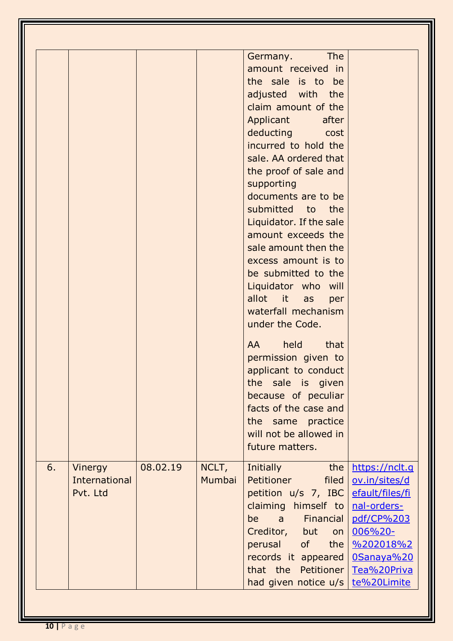| 6. | Vinergy<br>International<br>Pvt. Ltd | 08.02.19 | NCLT,<br>Mumbai | <b>The</b><br>Germany.<br>amount received in<br>the sale is to be<br>adjusted with the<br>claim amount of the<br>Applicant<br>after<br>deducting cost<br>incurred to hold the<br>sale. AA ordered that<br>the proof of sale and<br>supporting<br>documents are to be<br>submitted to the<br>Liquidator. If the sale<br>amount exceeds the<br>sale amount then the<br>excess amount is to<br>be submitted to the<br>Liquidator who will<br>allot<br>it it<br>as<br>per<br>waterfall mechanism<br>under the Code.<br>held<br>that<br>AA.<br>permission given to<br>applicant to conduct<br>the sale is given<br>because of peculiar<br>facts of the case and<br>the same practice<br>will not be allowed in<br>future matters.<br><b>Initially</b><br>the<br>Petitioner<br>filed<br>petition $u/s$ 7, IBC | https://nclt.g<br>ov.in/sites/d<br>efault/files/fi              |
|----|--------------------------------------|----------|-----------------|---------------------------------------------------------------------------------------------------------------------------------------------------------------------------------------------------------------------------------------------------------------------------------------------------------------------------------------------------------------------------------------------------------------------------------------------------------------------------------------------------------------------------------------------------------------------------------------------------------------------------------------------------------------------------------------------------------------------------------------------------------------------------------------------------------|-----------------------------------------------------------------|
|    |                                      |          |                 | claiming himself to<br>a Financial<br>be<br>Creditor, but<br>on<br>perusal<br>of<br>the<br>records it appeared                                                                                                                                                                                                                                                                                                                                                                                                                                                                                                                                                                                                                                                                                          | nal-orders-<br>pdf/CP%203<br>006%20-<br>%202018%2<br>0Sanaya%20 |
|    |                                      |          |                 | that the Petitioner<br>had given notice $u/s$ te%20Limite                                                                                                                                                                                                                                                                                                                                                                                                                                                                                                                                                                                                                                                                                                                                               | Tea%20Priva                                                     |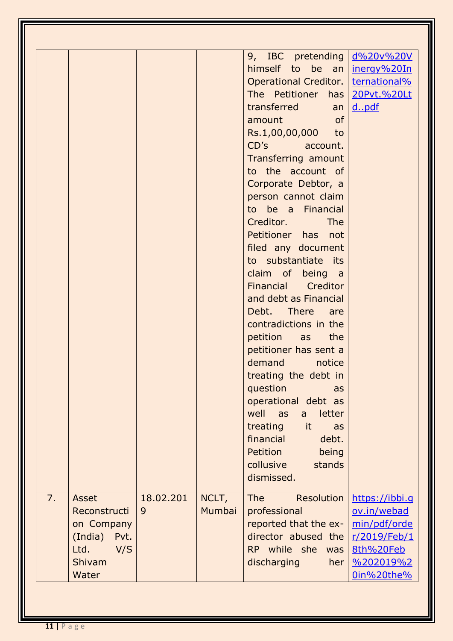|    |                                                                                       |                |                 | 9, IBC pretending   d%20v%20V<br>himself to be an<br>Operational Creditor.<br>The Petitioner has<br>transferred<br>$an \mid$<br>of<br>amount<br>Rs.1,00,00,000 to<br>CD's account.<br>Transferring amount<br>to the account of<br>Corporate Debtor, a<br>person cannot claim<br>to be a Financial<br><b>The</b><br>Creditor.<br>Petitioner has not<br>filed any document<br>to substantiate its<br>claim of being a<br>Financial Creditor<br>and debt as Financial<br>Debt. There are<br>contradictions in the<br>petition as the<br>petitioner has sent a<br>demand<br>notice<br>treating the debt in<br>question<br>as<br>operational debt as<br>well<br>as<br>letter<br>a<br>treating<br>it<br>as<br>financial<br>debt.<br>Petition<br>being<br>collusive<br>stands<br>dismissed. | inergy%20In<br>ternational%<br>20Pvt.%20Lt<br>dpdf                                                                  |
|----|---------------------------------------------------------------------------------------|----------------|-----------------|--------------------------------------------------------------------------------------------------------------------------------------------------------------------------------------------------------------------------------------------------------------------------------------------------------------------------------------------------------------------------------------------------------------------------------------------------------------------------------------------------------------------------------------------------------------------------------------------------------------------------------------------------------------------------------------------------------------------------------------------------------------------------------------|---------------------------------------------------------------------------------------------------------------------|
| 7. | Asset<br>Reconstructi<br>on Company<br>(India) Pvt.<br>Ltd.<br>V/S<br>Shivam<br>Water | 18.02.201<br>9 | NCLT,<br>Mumbai | <b>The</b><br>Resolution<br>professional<br>reported that the ex-<br>director abused the<br>RP while she<br>was<br>discharging<br>her <sub>l</sub>                                                                                                                                                                                                                                                                                                                                                                                                                                                                                                                                                                                                                                   | https://ibbi.g<br>ov.in/webad<br>min/pdf/orde<br>r/2019/Feb/1<br>8th%20Feb<br>$\frac{96202019\%2}{2}$<br>0in%20the% |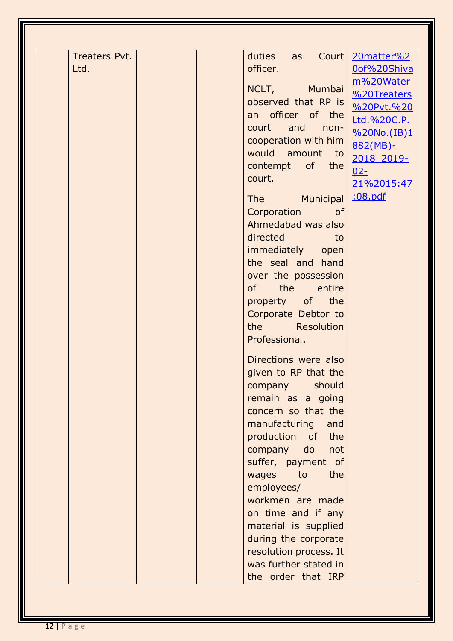| Treaters Pvt. | duties<br>Court   20matter%2<br>as  |
|---------------|-------------------------------------|
| Ltd.          | officer.<br>0of%20Shiva             |
|               | m%20Water<br>NCLT, Mumbai           |
|               | %20Treaters<br>observed that RP is  |
|               | %20Pvt.%20<br>an officer of the     |
|               | Ltd.%20C.P.<br>and<br>court<br>non- |
|               | %20No.(IB)1<br>cooperation with him |
|               | $882(MB)$ -<br>would amount to      |
|               | 2018 2019-<br>contempt of the       |
|               | $02 -$<br>court.                    |
|               | 21%2015:47                          |
|               | :08.pdf<br>The Municipal            |
|               | Corporation<br><b>of</b>            |
|               | Ahmedabad was also                  |
|               | directed<br>to<br>a di Kabupatén    |
|               | immediately<br>open                 |
|               | the seal and hand                   |
|               | over the possession                 |
|               | of the entire                       |
|               | property of the                     |
|               | Corporate Debtor to                 |
|               | the Resolution                      |
|               | Professional.                       |
|               |                                     |
|               | Directions were also                |
|               | given to RP that the                |
|               | should<br>company                   |
|               | remain as a going                   |
|               | concern so that the                 |
|               | manufacturing<br>and                |
|               | production of the                   |
|               | company do<br>not                   |
|               | suffer, payment of                  |
|               | wages<br>to<br>the                  |
|               | employees/                          |
|               | workmen are made                    |
|               | on time and if any                  |
|               | material is supplied                |
|               | during the corporate                |
|               | resolution process. It              |
|               | was further stated in               |
|               | the order that IRP                  |